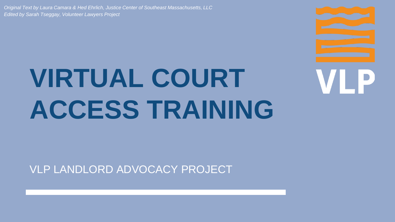*Original Text by Laura Camara & Hed Ehrlich, Justice Center of Southeast Massachusetts, LLC Edited by Sarah Tseggay, Volunteer Lawyers Project*

# **VIRTUAL COURT ACCESS TRAINING**



VLP LANDLORD ADVOCACY PROJECT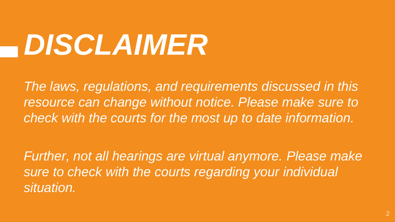# *DISCLAIMER*

*The laws, regulations, and requirements discussed in this resource can change without notice. Please make sure to check with the courts for the most up to date information.*

*Further, not all hearings are virtual anymore. Please make sure to check with the courts regarding your individual situation.*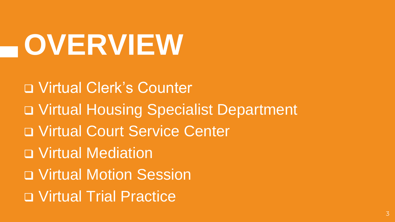# **OVERVIEW**

❑ Virtual Clerk's Counter ❑ Virtual Housing Specialist Department ❑ Virtual Court Service Center ❑ Virtual Mediation ❑ Virtual Motion Session ❑ Virtual Trial Practice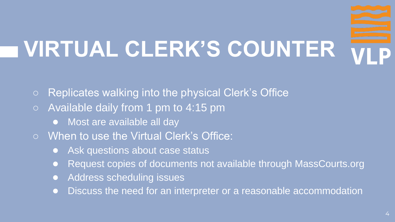# **VIRTUAL CLERK'S COUNTER**

- Replicates walking into the physical Clerk's Office
- Available daily from 1 pm to 4:15 pm
	- Most are available all day
- When to use the Virtual Clerk's Office:
	- Ask questions about case status
	- Request copies of documents not available through MassCourts.org
	- Address scheduling issues
	- Discuss the need for an interpreter or a reasonable accommodation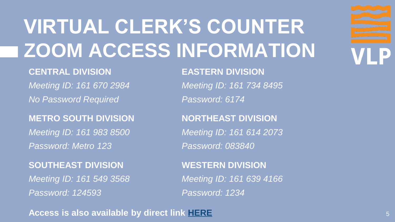### **VIRTUAL CLERK'S COUNTER ZOOM ACCESS INFORMATION**

### **CENTRAL DIVISION EASTERN DIVISION**

*Meeting ID: 161 670 2984 Meeting ID: 161 734 8495 No Password Required Password: 6174*

### **METRO SOUTH DIVISION NORTHEAST DIVISION**

*Meeting ID: 161 983 8500 Meeting ID: 161 614 2073 Password: Metro 123 Password: 083840*

**SOUTHEAST DIVISION WESTERN DIVISION** *Meeting ID: 161 549 3568 Meeting ID: 161 639 4166 Password: 124593 Password: 1234*

### **Access is also available by direct link [HERE](https://www.mass.gov/info-details/remotevirtual-court-services#housing-court-virtual-front-counter-)**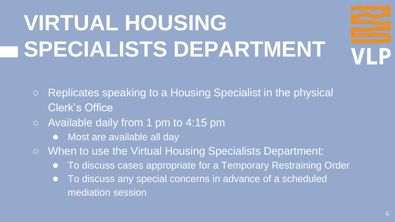### **VIRTUAL HOUSING SPECIALISTS DEPARTMENT**

- Replicates speaking to a Housing Specialist in the physical Clerk's Office
- Available daily from 1 pm to 4:15 pm
	- Most are available all day
- When to use the Virtual Housing Specialists Department:
	- To discuss cases appropriate for a Temporary Restraining Order
	- To discuss any special concerns in advance of a scheduled mediation session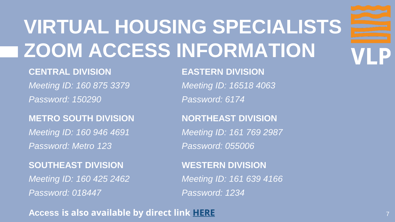### **VIRTUAL HOUSING SPECIALISTS ZOOM ACCESS INFORMATION**

### **CENTRAL DIVISION EASTERN DIVISION**

*Meeting ID: 160 875 3379 Meeting ID: 16518 4063 Password: 150290 Password: 6174*

### **METRO SOUTH DIVISION NORTHEAST DIVISION**

*Meeting ID: 160 946 4691 Meeting ID: 161 769 2987 Password: Metro 123 Password: 055006*

**SOUTHEAST DIVISION WESTERN DIVISION** *Meeting ID: 160 425 2462 Meeting ID: 161 639 4166 Password: 018447 Password: 1234*

### **Access is also available by direct link [HERE](https://www.mass.gov/info-details/remotevirtual-court-services#housing-court-virtual-front-counter-)**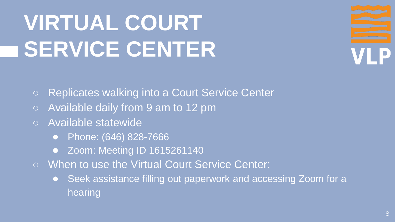### **VIRTUAL COURT SERVICE CENTER**

○ Replicates walking into a Court Service Center

- Available daily from 9 am to 12 pm
- Available statewide
	- Phone: (646) 828-7666
	- Zoom: Meeting ID 1615261140
- When to use the Virtual Court Service Center:
	- Seek assistance filling out paperwork and accessing Zoom for a hearing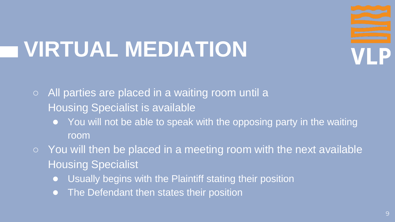### **VIRTUAL MEDIATION**

 $\circ$  All parties are placed in a waiting room until a Housing Specialist is available

- You will not be able to speak with the opposing party in the waiting room
- You will then be placed in a meeting room with the next available Housing Specialist
	- Usually begins with the Plaintiff stating their position
	- The Defendant then states their position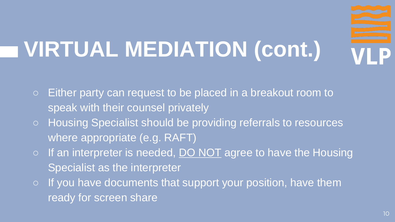### **VIRTUAL MEDIATION (cont.)**

- Either party can request to be placed in a breakout room to speak with their counsel privately
- Housing Specialist should be providing referrals to resources where appropriate (e.g. RAFT)
- $\circ$  If an interpreter is needed, DO NOT agree to have the Housing Specialist as the interpreter
- $\circ$  If you have documents that support your position, have them ready for screen share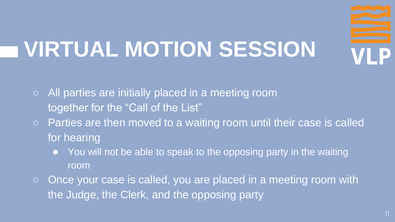### **VIRTUAL MOTION SESSION**

- All parties are initially placed in a meeting room together for the "Call of the List"
- Parties are then moved to a waiting room until their case is called for hearing
	- You will not be able to speak to the opposing party in the waiting room
- Once your case is called, you are placed in a meeting room with the Judge, the Clerk, and the opposing party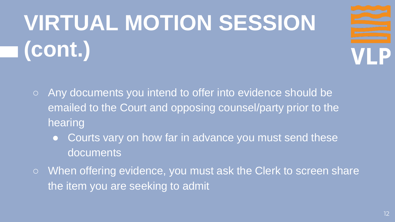## **VIRTUAL MOTION SESSION (cont.)**



- Any documents you intend to offer into evidence should be emailed to the Court and opposing counsel/party prior to the hearing
	- Courts vary on how far in advance you must send these documents
- When offering evidence, you must ask the Clerk to screen share the item you are seeking to admit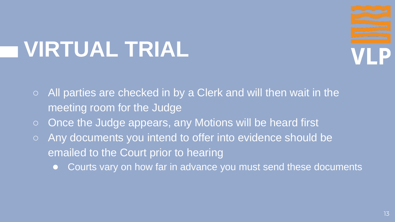### **VIRTUAL TRIAL**

- All parties are checked in by a Clerk and will then wait in the meeting room for the Judge
- Once the Judge appears, any Motions will be heard first
- Any documents you intend to offer into evidence should be emailed to the Court prior to hearing
	- Courts vary on how far in advance you must send these documents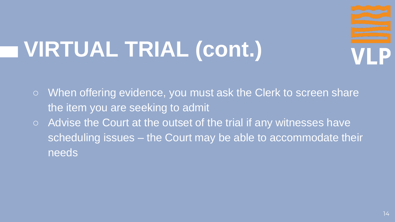### **VIRTUAL TRIAL (cont.)**

○ When offering evidence, you must ask the Clerk to screen share the item you are seeking to admit ○ Advise the Court at the outset of the trial if any witnesses have scheduling issues – the Court may be able to accommodate their needs